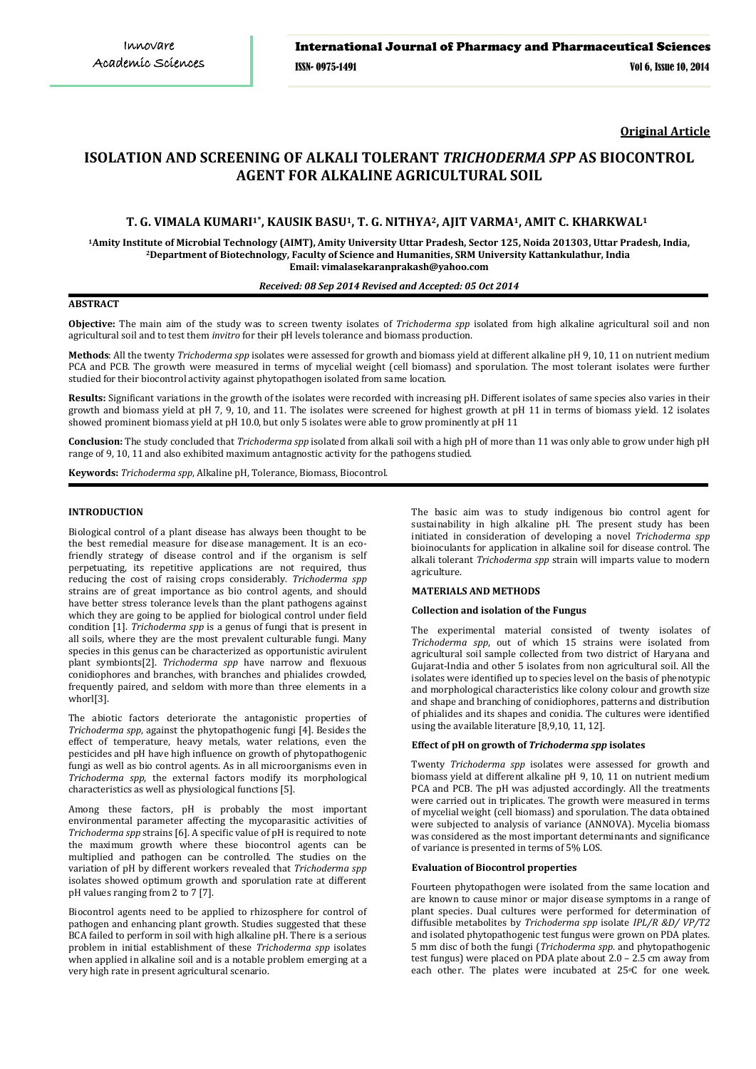**Original Article**

# **ISOLATION AND SCREENING OF ALKALI TOLERANT** *TRICHODERMA SPP* **AS BIOCONTROL AGENT FOR ALKALINE AGRICULTURAL SOIL**

# **T. G. VIMALA KUMARI1\* , KAUSIK BASU1, T. G. NITHYA2, AJIT VARMA1, AMIT C. KHARKWAL<sup>1</sup>**

**<sup>1</sup>Amity Institute of Microbial Technology (AIMT), Amity University Uttar Pradesh, Sector 125, Noida 201303, Uttar Pradesh, India, <sup>2</sup>Department of Biotechnology, Faculty of Science and Humanities, SRM University Kattankulathur, India Email: vimalasekaranprakash@yahoo.com**

## *Received: 08 Sep 2014 Revised and Accepted: 05 Oct 2014*

# **ABSTRACT**

**Objective:** The main aim of the study was to screen twenty isolates of *Trichoderma spp* isolated from high alkaline agricultural soil and non agricultural soil and to test them *invitro* for their pH levels tolerance and biomass production.

**Methods**: All the twenty *Trichoderma spp* isolates were assessed for growth and biomass yield at different alkaline pH 9, 10, 11 on nutrient medium PCA and PCB. The growth were measured in terms of mycelial weight (cell biomass) and sporulation*.* The most tolerant isolates were further studied for their biocontrol activity against phytopathogen isolated from same location.

**Results:** Significant variations in the growth of the isolates were recorded with increasing pH. Different isolates of same species also varies in their growth and biomass yield at pH 7, 9, 10, and 11. The isolates were screened for highest growth at pH 11 in terms of biomass yield. 12 isolates showed prominent biomass yield at pH 10.0, but only 5 isolates were able to grow prominently at pH 11

**Conclusion:** The study concluded that *Trichoderma spp* isolated from alkali soil with a high pH of more than 11 was only able to grow under high pH range of 9, 10, 11 and also exhibited maximum antagnostic activity for the pathogens studied.

**Keywords:** *Trichoderma spp*, Alkaline pH, Tolerance, Biomass, Biocontrol.

#### **INTRODUCTION**

Biological control of a plant disease has always been thought to be the best remedial measure for disease management. It is an ecofriendly strategy of disease control and if the organism is self perpetuating, its repetitive applications are not required, thus reducing the cost of raising crops considerably. *Trichoderma spp* strains are of great importance as bio control agents, and should have better stress tolerance levels than the plant pathogens against which they are going to be applied for biological control under field condition [1]. *Trichoderma spp* is [a genus](http://en.wikipedia.org/wiki/Genus) o[f fungi](http://en.wikipedia.org/wiki/Fungi) that is present in all soils, where they are the most prevalent [culturable](http://en.wikipedia.org/wiki/Cell_culture) fungi. Many species in this genus can be characterized as opportunistic avirulent plant symbionts[2]. *Trichoderma spp* have narrow and flexuous conidiophores and branches, with branches and phialides crowded, frequently paired, and seldom with more than three elements in a whorl[3].

The abiotic factors deteriorate the antagonistic properties of *Trichoderma spp*, against the phytopathogenic fungi [4]. Besides the effect of temperature, heavy metals, water relations, even the pesticides and pH have high influence on growth of phytopathogenic fungi as well as bio control agents. As in all microorganisms even in *Trichoderma spp*, the external factors modify its morphological characteristics as well as physiological functions [5].

Among these factors, pH is probably the most important environmental parameter affecting the mycoparasitic activities of *Trichoderma spp* strains [6]. A specific value of pH is required to note the maximum growth where these biocontrol agents can be multiplied and pathogen can be controlled. The studies on the variation of pH by different workers revealed that *Trichoderma spp* isolates showed optimum growth and sporulation rate at different pH values ranging from 2 to 7 [7].

Biocontrol agents need to be applied to rhizosphere for control of pathogen and enhancing plant growth. Studies suggested that these BCA failed to perform in soil with high alkaline pH. There is a serious problem in initial establishment of these *Trichoderma spp* isolates when applied in alkaline soil and is a notable problem emerging at a very high rate in present agricultural scenario.

The basic aim was to study indigenous bio control agent for sustainability in high alkaline pH. The present study has been initiated in consideration of developing a novel *Trichoderma spp* bioinoculants for application in alkaline soil for disease control. The alkali tolerant *Trichoderma spp* strain will imparts value to modern agriculture.

## **MATERIALS AND METHODS**

#### **Collection and isolation of the Fungus**

The experimental material consisted of twenty isolates of *Trichoderma spp*, out of which 15 strains were isolated from agricultural soil sample collected from two district of Haryana and Gujarat-India and other 5 isolates from non agricultural soil. All the isolates were identified up to species level on the basis of phenotypic and morphological characteristics like colony colour and growth size and shape and branching of conidiophores, patterns and distribution of phialides and its shapes and conidia. The cultures were identified using the available literature [8,9,10, 11, 12].

## **Effect of pH on growth of** *Trichoderma spp* **isolates**

Twenty *Trichoderma spp* isolates were assessed for growth and biomass yield at different alkaline pH 9, 10, 11 on nutrient medium PCA and PCB. The pH was adjusted accordingly. All the treatments were carried out in triplicates. The growth were measured in terms of mycelial weight (cell biomass) and sporulation. The data obtained were subjected to analysis of variance (ANNOVA). Mycelia biomass was considered as the most important determinants and significance of variance is presented in terms of 5% LOS.

## **Evaluation of Biocontrol properties**

Fourteen phytopathogen were isolated from the same location and are known to cause minor or major disease symptoms in a range of plant species. Dual cultures were performed for determination of diffusible metabolites by *Trichoderma spp* isolate *IPL/R &D/ VP/T2* and isolated phytopathogenic test fungus were grown on PDA plates. 5 mm disc of both the fungi (*Trichoderma spp*. and phytopathogenic test fungus) were placed on PDA plate about 2.0 – 2.5 cm away from each other. The plates were incubated at 25°C for one week.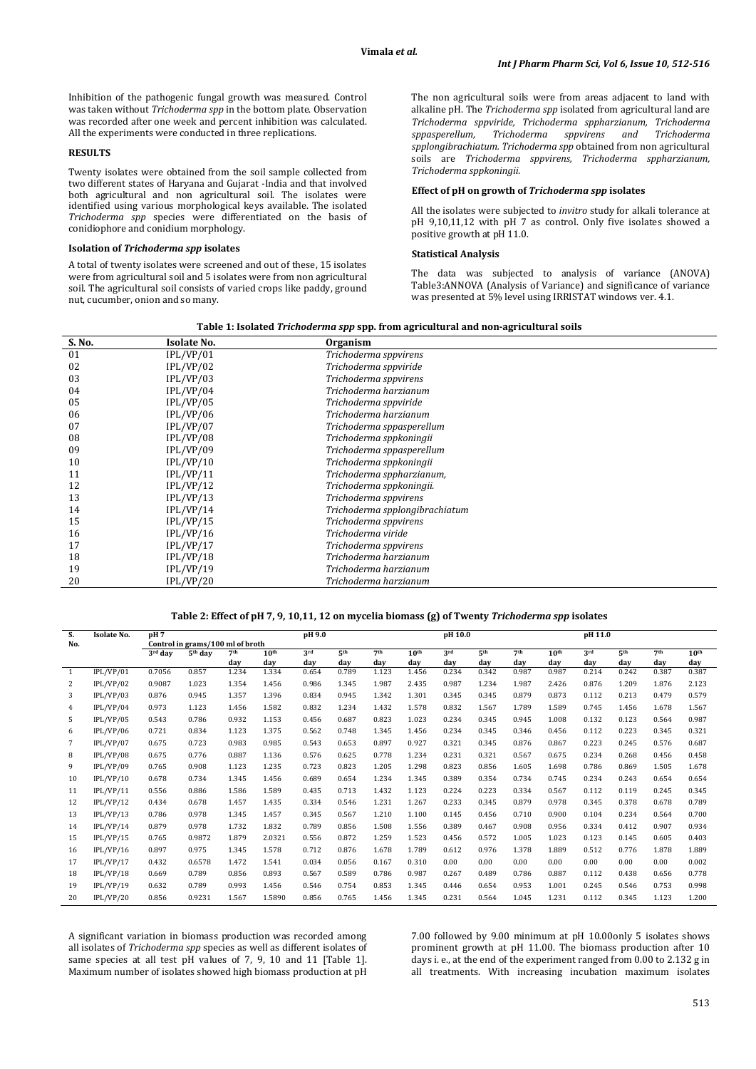Inhibition of the pathogenic fungal growth was measured. Control was taken without *Trichoderma spp* in the bottom plate. Observation was recorded after one week and percent inhibition was calculated. All the experiments were conducted in three replications.

#### **RESULTS**

Twenty isolates were obtained from the soil sample collected from two different states of Haryana and Gujarat -India and that involved both agricultural and non agricultural soil. The isolates were identified using various morphological keys available. The isolated *Trichoderma spp* species were differentiated on the basis of conidiophore and conidium morphology.

#### **Isolation of** *Trichoderma spp* **isolates**

A total of twenty isolates were screened and out of these, 15 isolates were from agricultural soil and 5 isolates were from non agricultural soil. The agricultural soil consists of varied crops like paddy, ground nut, cucumber, onion and so many.

The non agricultural soils were from areas adjacent to land with alkaline pH. The *Trichoderma spp* isolated from agricultural land are *Trichoderma sppviride, Trichoderma sppharzianum, Trichoderma sppasperellum, Trichoderma sppvirens and Trichoderma spplongibrachiatum. Trichoderma spp* obtained from non agricultural soils are *Trichoderma sppvirens, Trichoderma sppharzianum, Trichoderma sppkoningii.*

#### **Effect of pH on growth of** *Trichoderma spp* **isolates**

All the isolates were subjected to *invitro* study for alkali tolerance at pH 9,10,11,12 with pH 7 as control. Only five isolates showed a positive growth at pH 11.0.

#### **Statistical Analysis**

The data was subjected to analysis of variance (ANOVA) Table3:ANNOVA (Analysis of Variance) and significance of variance was presented at 5% level using IRRISTAT windows ver. 4.1.

|  |  | Table 1: Isolated <i>Trichoderma spp</i> spp. from agricultural and non-agricultural soils |  |
|--|--|--------------------------------------------------------------------------------------------|--|
|  |  |                                                                                            |  |

| S. No. | <b>Isolate No.</b> | Organism                       |  |
|--------|--------------------|--------------------------------|--|
| 01     | IPL/VP/01          | Trichoderma sppvirens          |  |
| 02     | IPL/VP/02          | Trichoderma sppviride          |  |
| 03     | IPL/VP/03          | Trichoderma sppvirens          |  |
| 04     | IPL/VP/04          | Trichoderma harzianum          |  |
| 05     | IPL/VP/05          | Trichoderma sppviride          |  |
| 06     | IPL/VP/06          | Trichoderma harzianum          |  |
| 07     | IPL/VP/07          | Trichoderma sppasperellum      |  |
| 08     | IPL/VP/08          | Trichoderma sppkoningii        |  |
| 09     | IPL/VP/09          | Trichoderma sppasperellum      |  |
| 10     | IPL/VP/10          | Trichoderma sppkoningii        |  |
| 11     | IPL/VP/11          | Trichoderma sppharzianum,      |  |
| 12     | IPL/VP/12          | Trichoderma sppkoningii.       |  |
| 13     | IPL/VP/13          | Trichoderma sppvirens          |  |
| 14     | IPL/VP/14          | Trichoderma spplongibrachiatum |  |
| 15     | IPL/VP/15          | Trichoderma sppvirens          |  |
| 16     | IPL/VP/16          | Trichoderma viride             |  |
| 17     | IPL/VP/17          | Trichoderma sppvirens          |  |
| 18     | IPL/VP/18          | Trichoderma harzianum          |  |
| 19     | IPL/VP/19          | Trichoderma harzianum          |  |
| 20     | IPL/VP/20          | Trichoderma harzianum          |  |
|        |                    |                                |  |

## **Table 2: Effect of pH 7, 9, 10,11, 12 on mycelia biomass (g) of Twenty** *Trichoderma spp* **isolates**

| S.  | <b>Isolate No.</b> | pH7     |                                  |                 |                  | pH 9.0 |                 |                 |                  | pH 10.0 |                 |                 |                  | pH 11.0 |                 |                 |                  |
|-----|--------------------|---------|----------------------------------|-----------------|------------------|--------|-----------------|-----------------|------------------|---------|-----------------|-----------------|------------------|---------|-----------------|-----------------|------------------|
| No. |                    |         | Control in grams/100 ml of broth |                 |                  |        |                 |                 |                  |         |                 |                 |                  |         |                 |                 |                  |
|     |                    | 3rd dav | 5 <sup>th</sup> dav              | 7 <sup>th</sup> | 10 <sup>th</sup> | 3rd    | 5 <sup>th</sup> | 7 <sup>th</sup> | 10 <sup>th</sup> | 3rd     | 5 <sup>th</sup> | 7 <sup>th</sup> | 10 <sup>th</sup> | 3rd     | 5 <sup>th</sup> | 7 <sup>th</sup> | 10 <sup>th</sup> |
|     |                    |         |                                  | day             | day              | day    | day             | day             | day              | day     | day             | day             | day              | day     | day             | day             | day              |
| -1  | IPL/VP/01          | 0.7056  | 0.857                            | 1.234           | 1.334            | 0.654  | 0.789           | 1.123           | 1.456            | 0.234   | 0.342           | 0.987           | 0.987            | 0.214   | 0.242           | 0.387           | 0.387            |
| 2   | IPL/VP/02          | 0.9087  | 1.023                            | 1.354           | 1.456            | 0.986  | 1.345           | 1.987           | 2.435            | 0.987   | 1.234           | 1.987           | 2.426            | 0.876   | 1.209           | 1.876           | 2.123            |
| 3   | IPL/VP/03          | 0.876   | 0.945                            | 1.357           | 1.396            | 0.834  | 0.945           | 1.342           | 1.301            | 0.345   | 0.345           | 0.879           | 0.873            | 0.112   | 0.213           | 0.479           | 0.579            |
| 4   | IPL/VP/04          | 0.973   | 1.123                            | 1.456           | 1.582            | 0.832  | 1.234           | 1.432           | 1.578            | 0.832   | 1.567           | 1.789           | 1.589            | 0.745   | 1.456           | 1.678           | 1.567            |
| 5   | IPL/VP/05          | 0.543   | 0.786                            | 0.932           | 1.153            | 0.456  | 0.687           | 0.823           | 1.023            | 0.234   | 0.345           | 0.945           | 1.008            | 0.132   | 0.123           | 0.564           | 0.987            |
| 6   | IPL/VP/06          | 0.721   | 0.834                            | 1.123           | 1.375            | 0.562  | 0.748           | 1.345           | 1.456            | 0.234   | 0.345           | 0.346           | 0.456            | 0.112   | 0.223           | 0.345           | 0.321            |
| 7   | IPL/VP/07          | 0.675   | 0.723                            | 0.983           | 0.985            | 0.543  | 0.653           | 0.897           | 0.927            | 0.321   | 0.345           | 0.876           | 0.867            | 0.223   | 0.245           | 0.576           | 0.687            |
| 8   | IPL/VP/08          | 0.675   | 0.776                            | 0.887           | 1.136            | 0.576  | 0.625           | 0.778           | 1.234            | 0.231   | 0.321           | 0.567           | 0.675            | 0.234   | 0.268           | 0.456           | 0.458            |
| 9   | IPL/VP/09          | 0.765   | 0.908                            | 1.123           | 1.235            | 0.723  | 0.823           | 1.205           | 1.298            | 0.823   | 0.856           | 1.605           | 1.698            | 0.786   | 0.869           | 1.505           | 1.678            |
| 10  | IPL/VP/10          | 0.678   | 0.734                            | 1.345           | 1.456            | 0.689  | 0.654           | 1.234           | 1.345            | 0.389   | 0.354           | 0.734           | 0.745            | 0.234   | 0.243           | 0.654           | 0.654            |
| 11  | IPL/VP/11          | 0.556   | 0.886                            | 1.586           | 1.589            | 0.435  | 0.713           | 1.432           | 1.123            | 0.224   | 0.223           | 0.334           | 0.567            | 0.112   | 0.119           | 0.245           | 0.345            |
| 12  | IPL/VP/12          | 0.434   | 0.678                            | 1.457           | 1.435            | 0.334  | 0.546           | 1.231           | 1.267            | 0.233   | 0.345           | 0.879           | 0.978            | 0.345   | 0.378           | 0.678           | 0.789            |
| 13  | IPL/VP/13          | 0.786   | 0.978                            | 1.345           | 1.457            | 0.345  | 0.567           | 1.210           | 1.100            | 0.145   | 0.456           | 0.710           | 0.900            | 0.104   | 0.234           | 0.564           | 0.700            |
| 14  | IPL/VP/14          | 0.879   | 0.978                            | 1.732           | 1.832            | 0.789  | 0.856           | 1.508           | 1.556            | 0.389   | 0.467           | 0.908           | 0.956            | 0.334   | 0.412           | 0.907           | 0.934            |
| 15  | IPL/VP/15          | 0.765   | 0.9872                           | 1.879           | 2.0321           | 0.556  | 0.872           | 1.259           | 1.523            | 0.456   | 0.572           | 1.005           | 1.023            | 0.123   | 0.145           | 0.605           | 0.403            |
| 16  | IPL/VP/16          | 0.897   | 0.975                            | 1.345           | 1.578            | 0.712  | 0.876           | 1.678           | 1.789            | 0.612   | 0.976           | 1.378           | 1.889            | 0.512   | 0.776           | 1.878           | 1.889            |
| 17  | IPL/VP/17          | 0.432   | 0.6578                           | 1.472           | 1.541            | 0.034  | 0.056           | 0.167           | 0.310            | 0.00    | 0.00            | 0.00            | 0.00             | 0.00    | 0.00            | 0.00            | 0.002            |
| 18  | IPL/VP/18          | 0.669   | 0.789                            | 0.856           | 0.893            | 0.567  | 0.589           | 0.786           | 0.987            | 0.267   | 0.489           | 0.786           | 0.887            | 0.112   | 0.438           | 0.656           | 0.778            |
| 19  | IPL/VP/19          | 0.632   | 0.789                            | 0.993           | 1.456            | 0.546  | 0.754           | 0.853           | 1.345            | 0.446   | 0.654           | 0.953           | 1.001            | 0.245   | 0.546           | 0.753           | 0.998            |
| 20  | IPL/VP/20          | 0.856   | 0.9231                           | 1.567           | 1.5890           | 0.856  | 0.765           | 1.456           | 1.345            | 0.231   | 0.564           | 1.045           | 1.231            | 0.112   | 0.345           | 1.123           | 1.200            |

A significant variation in biomass production was recorded among all isolates of *Trichoderma spp* species as well as different isolates of same species at all test pH values of 7, 9, 10 and 11 [Table 1]. Maximum number of isolates showed high biomass production at pH 7.00 followed by 9.00 minimum at pH 10.00only 5 isolates shows prominent growth at pH 11.00. The biomass production after 10 days i. e., at the end of the experiment ranged from 0.00 to 2.132 g in all treatments. With increasing incubation maximum isolates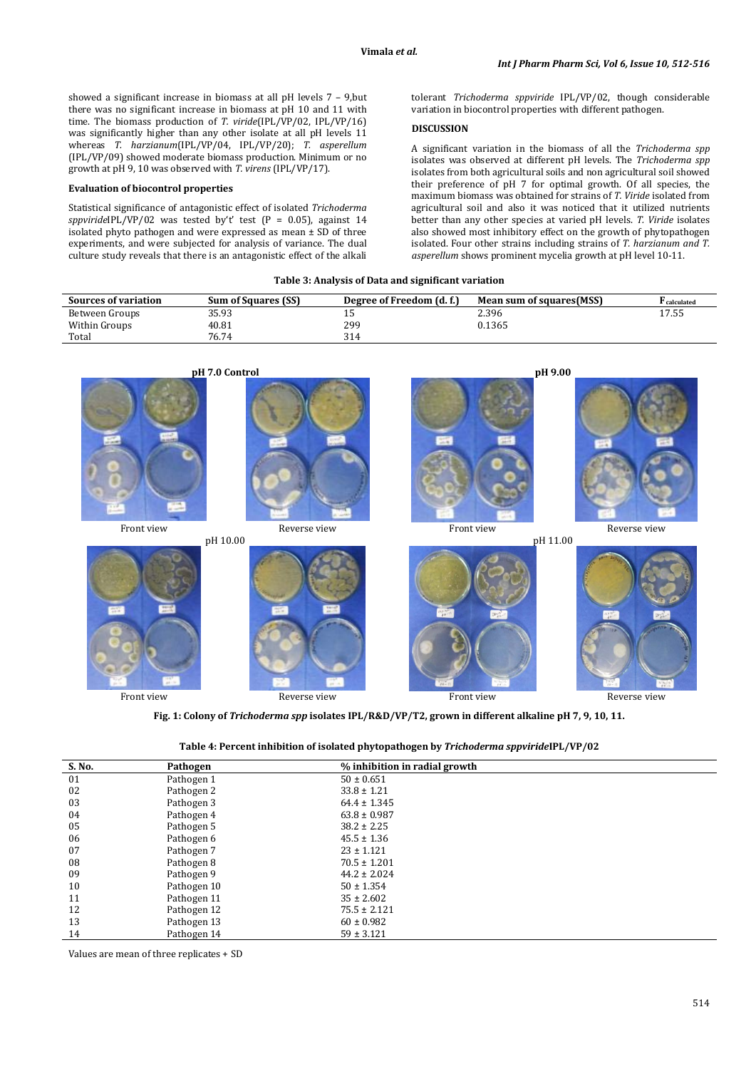showed a significant increase in biomass at all pH levels 7 – 9,but there was no significant increase in biomass at pH 10 and 11 with time. The biomass production of *T. viride*(IPL/VP/02, IPL/VP/16) was significantly higher than any other isolate at all pH levels 11 whereas *T. harzianum*(IPL/VP/04, IPL/VP/20); *T. asperellum* (IPL/VP/09) showed moderate biomass production. Minimum or no growth at pH 9, 10 was observed with *T. virens* (IPL/VP/17).

## **Evaluation of biocontrol properties**

Statistical significance of antagonistic effect of isolated *Trichoderma sppviride*IPL/VP/02 was tested by't' test (P = 0.05), against 14  $\frac{1}{10}$  isolated phyto pathogen and were expressed as mean  $\pm$  SD of three experiments, and were subjected for analysis of variance. The dual culture study reveals that there is an antagonistic effect of the alkali tolerant *Trichoderma sppviride* IPL/VP/02, though considerable variation in biocontrol properties with different pathogen.

## **DISCUSSION**

A significant variation in the biomass of all the *Trichoderma spp* isolates was observed at different pH levels. The *Trichoderma spp* isolates from both agricultural soils and non agricultural soil showed their preference of pH 7 for optimal growth. Of all species, the maximum biomass was obtained for strains of *T. Viride* isolated from agricultural soil and also it was noticed that it utilized nutrients better than any other species at varied pH levels. *T. Viride* isolates also showed most inhibitory effect on the growth of phytopathogen isolated. Four other strains including strains of *T. harzianum and T. asperellum* shows prominent mycelia growth at pH level 10-11.

|  |  |  |  | Table 3: Analysis of Data and significant variation |
|--|--|--|--|-----------------------------------------------------|
|--|--|--|--|-----------------------------------------------------|

| <b>Sources of variation</b> | <b>Sum of Squares (SS)</b> | Degree of Freedom (d. f.) | Mean sum of squares(MSS) | <sup>r</sup> calculated |
|-----------------------------|----------------------------|---------------------------|--------------------------|-------------------------|
| Between Groups              | 35.93                      | ∸                         | 2.396                    | 17.55                   |
| Within Groups               | 40.81                      | 299                       | 0.1365                   |                         |
| Total                       | 76.74                      | 314                       |                          |                         |



**Fig. 1: Colony of** *Trichoderma spp* **isolates IPL/R&D/VP/T2, grown in different alkaline pH 7, 9, 10, 11.**

| Table 4: Percent inhibition of isolated phytopathogen by Trichoderma sppvirideIPL/VP/02 |  |  |  |  |
|-----------------------------------------------------------------------------------------|--|--|--|--|
|-----------------------------------------------------------------------------------------|--|--|--|--|

| S. No. | Pathogen    | % inhibition in radial growth |  |
|--------|-------------|-------------------------------|--|
| 01     | Pathogen 1  | $50 \pm 0.651$                |  |
| 02     | Pathogen 2  | $33.8 \pm 1.21$               |  |
| 03     | Pathogen 3  | $64.4 \pm 1.345$              |  |
| 04     | Pathogen 4  | $63.8 \pm 0.987$              |  |
| 05     | Pathogen 5  | $38.2 \pm 2.25$               |  |
| 06     | Pathogen 6  | $45.5 \pm 1.36$               |  |
| 07     | Pathogen 7  | $23 \pm 1.121$                |  |
| 08     | Pathogen 8  | $70.5 \pm 1.201$              |  |
| 09     | Pathogen 9  | $44.2 \pm 2.024$              |  |
| 10     | Pathogen 10 | $50 \pm 1.354$                |  |
| 11     | Pathogen 11 | $35 \pm 2.602$                |  |
| 12     | Pathogen 12 | $75.5 \pm 2.121$              |  |
| 13     | Pathogen 13 | $60 \pm 0.982$                |  |
| 14     | Pathogen 14 | $59 \pm 3.121$                |  |

Values are mean of three replicates + SD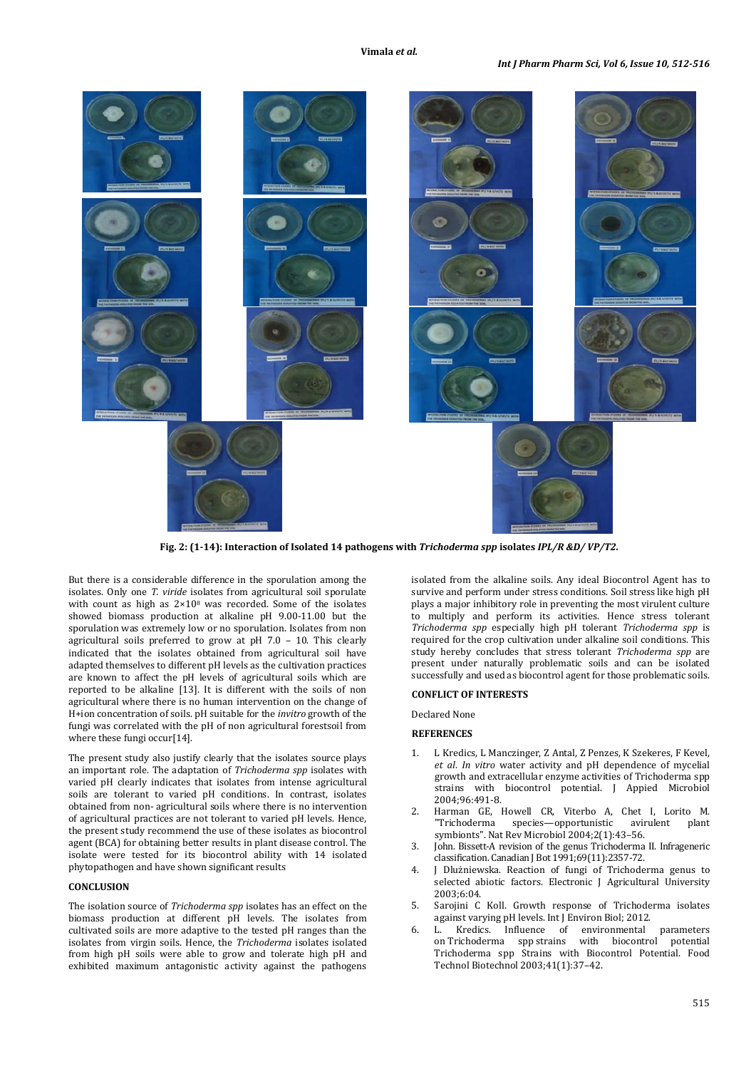

**Fig. 2: (1-14): Interaction of Isolated 14 pathogens with** *Trichoderma spp* **isolates** *IPL/R &D/ VP/T2.*

But there is a considerable difference in the sporulation among the isolates. Only one *T. viride* isolates from agricultural soil sporulate with count as high as  $2 \times 10^8$  was recorded. Some of the isolates showed biomass production at alkaline pH 9.00-11.00 but the sporulation was extremely low or no sporulation. Isolates from non agricultural soils preferred to grow at pH 7.0 – 10. This clearly indicated that the isolates obtained from agricultural soil have adapted themselves to different pH levels as the cultivation practices are known to affect the pH levels of agricultural soils which are reported to be alkaline [13]. It is different with the soils of non agricultural where there is no human intervention on the change of H+ion concentration of soils. pH suitable for the *invitro* growth of the fungi was correlated with the pH of non agricultural forestsoil from where these fungi occur<sup>[14]</sup>.

The present study also justify clearly that the isolates source plays an important role. The adaptation of *Trichoderma spp* isolates with varied pH clearly indicates that isolates from intense agricultural soils are tolerant to varied pH conditions. In contrast, isolates obtained from non- agricultural soils where there is no intervention of agricultural practices are not tolerant to varied pH levels. Hence, the present study recommend the use of these isolates as biocontrol agent (BCA) for obtaining better results in plant disease control. The isolate were tested for its biocontrol ability with 14 isolated phytopathogen and have shown significant results

## **CONCLUSION**

The isolation source of *Trichoderma spp* isolates has an effect on the biomass production at different pH levels. The isolates from cultivated soils are more adaptive to the tested pH ranges than the isolates from virgin soils. Hence, the *Trichoderma* isolates isolated from high pH soils were able to grow and tolerate high pH and exhibited maximum antagonistic activity against the pathogens

isolated from the alkaline soils. Any ideal Biocontrol Agent has to survive and perform under stress conditions. Soil stress like high pH plays a major inhibitory role in preventing the most virulent culture to multiply and perform its activities. Hence stress tolerant *Trichoderma spp* especially high pH tolerant *Trichoderma spp* is required for the crop cultivation under alkaline soil conditions. This study hereby concludes that stress tolerant *Trichoderma spp* are present under naturally problematic soils and can be isolated successfully and used as biocontrol agent for those problematic soils.

## **CONFLICT OF INTERESTS**

Declared None

## **REFERENCES**

- 1. L Kredics, L Manczinger, Z Antal, Z Penzes, K Szekeres, F Kevel, *et al*. *In vitro* water activity and pH dependence of mycelial growth and extracellular enzyme activities of Trichoderma spp strains with biocontrol potential. J Appied Microbiol 2004;96:491-8.
- 2. Harman GE, Howell CR, Viterbo A, Chet I, Lorito M. species—opportunistic avirulent symbionts". Nat Rev Microbiol 2004;2(1):43–56.
- 3. John. Bissett-A revision of the genus Trichoderma II. Infrageneric classification. Canadian J Bot 1991;69(11):2357-72.
- 4. J Dlużniewska. Reaction of fungi of Trichoderma genus to selected abiotic factors. Electronic J Agricultural University 2003;6:04.
- 5. Sarojini C Koll. Growth response of Trichoderma isolates against varying pH levels. Int J Environ Biol; 2012.
- 6. L. Kredics. [Influence of environmental parameters](http://hrcak.srce.hr/file/163474)  on Trichoderma spp [strains with biocontrol potential](http://hrcak.srce.hr/file/163474) Trichoderma spp Strains with Biocontrol Potential. Food Technol Biotechnol 2003;41(1):37–42.